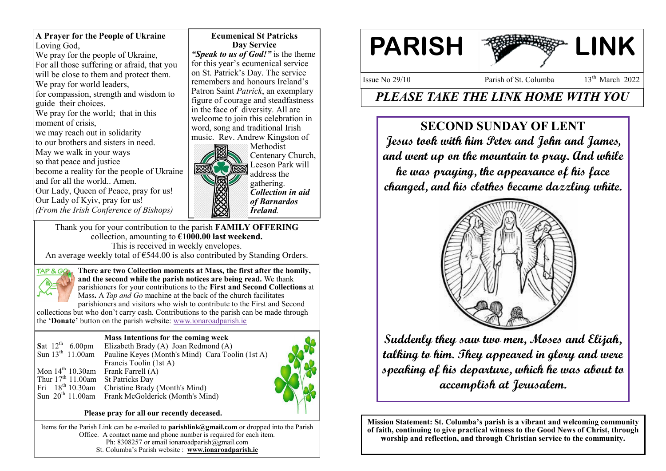**A Prayer for the People of Ukraine** Loving God, We pray for the people of Ukraine, For all those suffering or afraid, that you will be close to them and protect them. We pray for world leaders, for compassion, strength and wisdom to guide their choices. We pray for the world; that in this moment of crisis, we may reach out in solidarity to our brothers and sisters in need. May we walk in your ways so that peace and justice become a reality for the people of Ukraine and for all the world.. Amen. Our Lady, Queen of Peace, pray for us! Our Lady of Kyiv, pray for us! *(From the Irish Conference of Bishops)*

**Ecumenical St Patricks Day Service** *"Speak to us of God!"* is the theme for this year's ecumenical service on St. Patrick's Day. The service remembers and honours Ireland's Patron Saint *Patrick*, an exemplary figure of courage and steadfastness in the face of diversity. All are welcome to join this celebration in word, song and traditional Irish music. Rev. Andrew Kingston of



Thank you for your contribution to the parish **FAMILY OFFERING** collection, amounting to **€1000.00 last weekend.**  This is received in weekly envelopes.

An average weekly total of  $\epsilon$ 544.00 is also contributed by Standing Orders.



**There are two Collection moments at Mass, the first after the homily, and the second while the parish notices are being read.** We thank parishioners for your contributions to the **First and Second Collections** at Mass**.** A *Tap and Go* machine at the back of the church facilitates parishioners and visitors who wish to contribute to the First and Second

collections but who don't carry cash. Contributions to the parish can be made through the '**Donate'** button on the parish website: [www.ionaroadparish.ie](http://www.ionaroadparish.ie)

#### **Mass Intentions for the coming week**

|                                       | Sat $12^{th}$ 6.00pm Elizabeth Brady (A) Joan Redmond (A)                     |  |
|---------------------------------------|-------------------------------------------------------------------------------|--|
|                                       | Sun 13 <sup>th</sup> 11.00am Pauline Keyes (Month's Mind) Cara Toolin (1st A) |  |
|                                       | Francis Toolin (1st A)                                                        |  |
| Mon $14th 10.30$ am Frank Farrell (A) |                                                                               |  |
| Thur $17th 11.00$ am St Patricks Day  |                                                                               |  |
|                                       | Fri $18th 10.30$ am Christine Brady (Month's Mind)                            |  |
|                                       | Sun 20 <sup>th</sup> 11.00am Frank McGolderick (Month's Mind)                 |  |
|                                       |                                                                               |  |

#### **Please pray for all our recently deceased.**

Items for the Parish Link can be e-mailed to **parishlink@gmail.com** or dropped into the Parish Office. A contact name and phone number is required for each item. Ph: 8308257 or email ionaroadparish@gmail.com St. Columba's Parish website : **www.ionaroadparish.ie** 



Issue No  $29/10$  Parish of St. Columba  $13<sup>th</sup>$  March 2022

# *PLEASE TAKE THE LINK HOME WITH YOU*

## **SECOND SUNDAY OF LENT**

**Jesus took with him Peter and John and James, and went up on the mountain to pray. And while** 

**he was praying, the appearance of his face changed, and his clothes became dazzling white.**



**Suddenly they saw two men, Moses and Elijah, talking to him. They appeared in glory and were speaking of his departure, which he was about to accomplish at Jerusalem.** 

**Mission Statement: St. Columba's parish is a vibrant and welcoming community of faith, continuing to give practical witness to the Good News of Christ, through worship and reflection, and through Christian service to the community.**